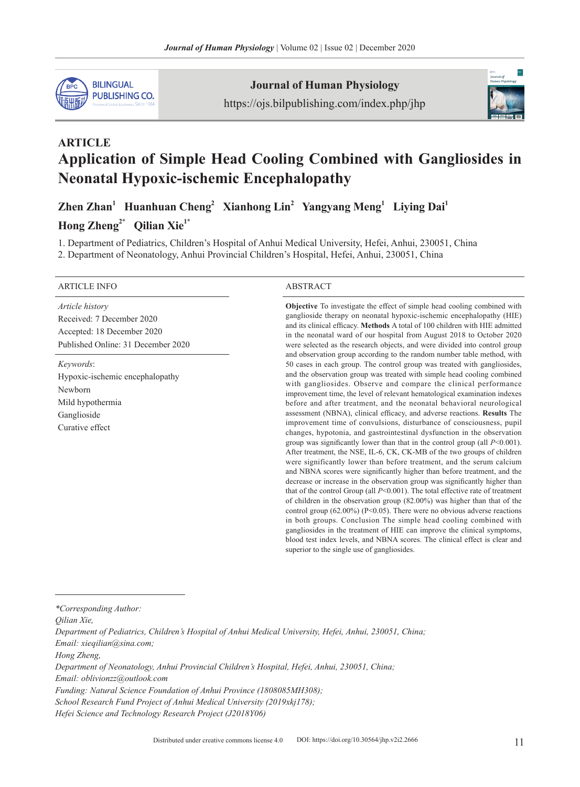

#### **Journal of Human Physiology**

https://ojs.bilpublishing.com/index.php/jhp



# **ARTICLE Application of Simple Head Cooling Combined with Gangliosides in Neonatal Hypoxic-ischemic Encephalopathy**

Zhen Zhan<sup>1</sup> Huanhuan Cheng<sup>2</sup> Xianhong Lin<sup>2</sup> Yangyang Meng<sup>1</sup> Liying Dai<sup>1</sup> Hong Zheng<sup>2\*</sup> Qilian Xie<sup>1\*</sup>

1. Department of Pediatrics, Children's Hospital of Anhui Medical University, Hefei, Anhui, 230051, China

2. Department of Neonatology, Anhui Provincial Children's Hospital, Hefei, Anhui, 230051, China

#### ARTICLE INFO ABSTRACT

*Article history* Received: 7 December 2020 Accepted: 18 December 2020 Published Online: 31 December 2020

*Keywords*: Hypoxic-ischemic encephalopathy Newborn Mild hypothermia Ganglioside Curative effect

**Objective** To investigate the effect of simple head cooling combined with ganglioside therapy on neonatal hypoxic-ischemic encephalopathy (HIE) and its clinical efficacy. **Methods** A total of 100 children with HIE admitted in the neonatal ward of our hospital from August 2018 to October 2020 were selected as the research objects, and were divided into control group and observation group according to the random number table method, with 50 cases in each group. The control group was treated with gangliosides, and the observation group was treated with simple head cooling combined with gangliosides. Observe and compare the clinical performance improvement time, the level of relevant hematological examination indexes before and after treatment, and the neonatal behavioral neurological assessment (NBNA), clinical efficacy, and adverse reactions. **Results** The improvement time of convulsions, disturbance of consciousness, pupil changes, hypotonia, and gastrointestinal dysfunction in the observation group was significantly lower than that in the control group (all *P*<0.001). After treatment, the NSE, IL-6, CK, CK-MB of the two groups of children were significantly lower than before treatment, and the serum calcium and NBNA scores were significantly higher than before treatment, and the decrease or increase in the observation group was significantly higher than that of the control Group (all *P*<0.001). The total effective rate of treatment of children in the observation group (82.00%) was higher than that of the control group (62.00%) (P<0.05). There were no obvious adverse reactions in both groups. Conclusion The simple head cooling combined with gangliosides in the treatment of HIE can improve the clinical symptoms, blood test index levels, and NBNA scores. The clinical effect is clear and superior to the single use of gangliosides.

*\*Corresponding Author:*

*Qilian Xie,* 

*Department of Pediatrics, Children's Hospital of Anhui Medical University, Hefei, Anhui, 230051, China; Email: xieqilian@sina.com;* 

*Hong Zheng,* 

*Department of Neonatology, Anhui Provincial Children's Hospital, Hefei, Anhui, 230051, China;* 

*Email: oblivionzz@outlook.com* 

*Funding: Natural Science Foundation of Anhui Province (1808085MH308);* 

*School Research Fund Project of Anhui Medical University (2019xkj178);* 

*Hefei Science and Technology Research Project (J2018Y06)*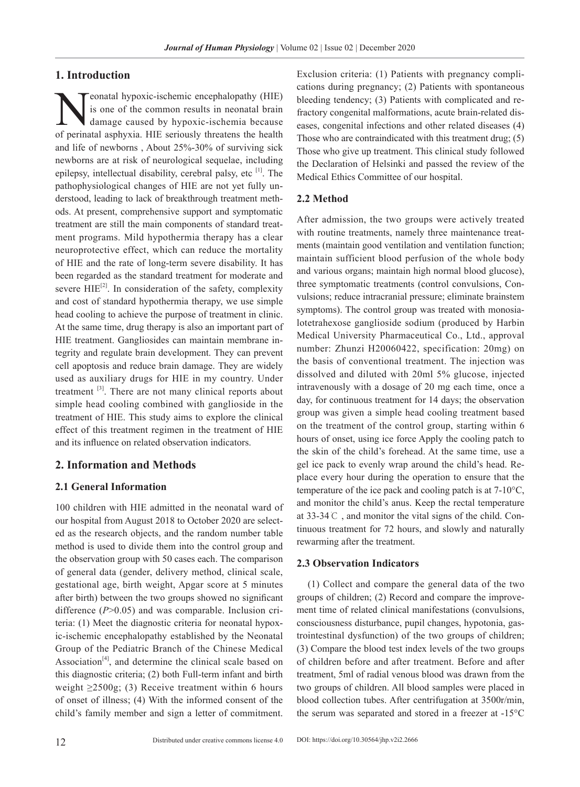#### **1. Introduction**

eonatal hypoxic-ischemic encephalopathy (HIE) is one of the common results in neonatal brain damage caused by hypoxic-ischemia because of perinatal asphyxia. HIE seriously threatens the health and life of newborns , About 25%-30% of surviving sick newborns are at risk of neurological sequelae, including epilepsy, intellectual disability, cerebral palsy, etc  $[1]$ . The pathophysiological changes of HIE are not yet fully understood, leading to lack of breakthrough treatment methods. At present, comprehensive support and symptomatic treatment are still the main components of standard treatment programs. Mild hypothermia therapy has a clear neuroprotective effect, which can reduce the mortality of HIE and the rate of long-term severe disability. It has been regarded as the standard treatment for moderate and severe  $HIE^{[2]}$ . In consideration of the safety, complexity and cost of standard hypothermia therapy, we use simple head cooling to achieve the purpose of treatment in clinic. At the same time, drug therapy is also an important part of HIE treatment. Gangliosides can maintain membrane integrity and regulate brain development. They can prevent cell apoptosis and reduce brain damage. They are widely used as auxiliary drugs for HIE in my country. Under treatment <sup>[3]</sup>. There are not many clinical reports about simple head cooling combined with ganglioside in the treatment of HIE. This study aims to explore the clinical effect of this treatment regimen in the treatment of HIE and its influence on related observation indicators.

## **2. Information and Methods**

#### **2.1 General Information**

100 children with HIE admitted in the neonatal ward of our hospital from August 2018 to October 2020 are selected as the research objects, and the random number table method is used to divide them into the control group and the observation group with 50 cases each. The comparison of general data (gender, delivery method, clinical scale, gestational age, birth weight, Apgar score at 5 minutes after birth) between the two groups showed no significant difference ( $P > 0.05$ ) and was comparable. Inclusion criteria: (1) Meet the diagnostic criteria for neonatal hypoxic-ischemic encephalopathy established by the Neonatal Group of the Pediatric Branch of the Chinese Medical Association<sup>[4]</sup>, and determine the clinical scale based on this diagnostic criteria; (2) both Full-term infant and birth weight  $\geq$ 2500g; (3) Receive treatment within 6 hours of onset of illness; (4) With the informed consent of the child's family member and sign a letter of commitment.

Exclusion criteria: (1) Patients with pregnancy complications during pregnancy; (2) Patients with spontaneous bleeding tendency; (3) Patients with complicated and refractory congenital malformations, acute brain-related diseases, congenital infections and other related diseases (4) Those who are contraindicated with this treatment drug; (5) Those who give up treatment. This clinical study followed the Declaration of Helsinki and passed the review of the Medical Ethics Committee of our hospital.

#### **2.2 Method**

After admission, the two groups were actively treated with routine treatments, namely three maintenance treatments (maintain good ventilation and ventilation function; maintain sufficient blood perfusion of the whole body and various organs; maintain high normal blood glucose), three symptomatic treatments (control convulsions, Convulsions; reduce intracranial pressure; eliminate brainstem symptoms). The control group was treated with monosialotetrahexose ganglioside sodium (produced by Harbin Medical University Pharmaceutical Co., Ltd., approval number: Zhunzi H20060422, specification: 20mg) on the basis of conventional treatment. The injection was dissolved and diluted with 20ml 5% glucose, injected intravenously with a dosage of 20 mg each time, once a day, for continuous treatment for 14 days; the observation group was given a simple head cooling treatment based on the treatment of the control group, starting within 6 hours of onset, using ice force Apply the cooling patch to the skin of the child's forehead. At the same time, use a gel ice pack to evenly wrap around the child's head. Replace every hour during the operation to ensure that the temperature of the ice pack and cooling patch is at 7-10°C, and monitor the child's anus. Keep the rectal temperature at 33-34℃ , and monitor the vital signs of the child. Continuous treatment for 72 hours, and slowly and naturally rewarming after the treatment.

#### **2.3 Observation Indicators**

(1) Collect and compare the general data of the two groups of children; (2) Record and compare the improvement time of related clinical manifestations (convulsions, consciousness disturbance, pupil changes, hypotonia, gastrointestinal dysfunction) of the two groups of children; (3) Compare the blood test index levels of the two groups of children before and after treatment. Before and after treatment, 5ml of radial venous blood was drawn from the two groups of children. All blood samples were placed in blood collection tubes. After centrifugation at 3500r/min, the serum was separated and stored in a freezer at -15°C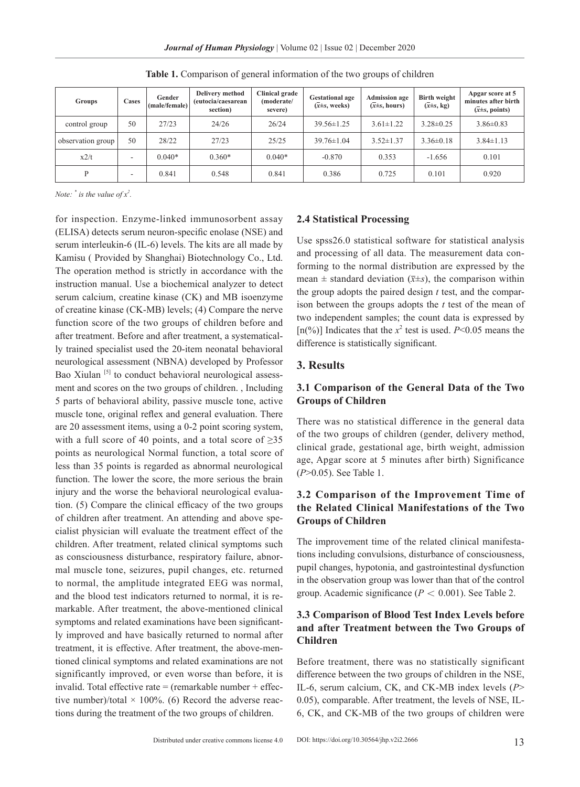*Journal of Human Physiology* | Volume 02 | Issue 02 | December 2020

| <b>Groups</b>     | <b>Cases</b> | Gender<br>(male/female) | <b>Delivery method</b><br>(eutocia/caesarean<br>section) | <b>Clinical grade</b><br>(moderate/<br>severe) | <b>Gestational age</b><br>$(x \pm s, \text{ weeks})$ | <b>Admission age</b><br>$(\overline{x} \pm s, \text{ hours})$ | Birth weight<br>$(\overline{x} \pm s, \text{kg})$ | Apgar score at 5<br>minutes after birth<br>$(x \pm s, \text{points})$ |
|-------------------|--------------|-------------------------|----------------------------------------------------------|------------------------------------------------|------------------------------------------------------|---------------------------------------------------------------|---------------------------------------------------|-----------------------------------------------------------------------|
| control group     | 50           | 27/23                   | 24/26                                                    | 26/24                                          | $39.56 \pm 1.25$                                     | $3.61 \pm 1.22$                                               | $3.28 \pm 0.25$                                   | $3.86 \pm 0.83$                                                       |
| observation group | 50           | 28/22                   | 27/23                                                    | 25/25                                          | $39.76 \pm 1.04$                                     | $3.52 \pm 1.37$                                               | $3.36 \pm 0.18$                                   | $3.84 \pm 1.13$                                                       |
| x2/t              | ۰            | $0.040*$                | $0.360*$                                                 | $0.040*$                                       | $-0.870$                                             | 0.353                                                         | $-1.656$                                          | 0.101                                                                 |
| D                 | ۰            | 0.841                   | 0.548                                                    | 0.841                                          | 0.386                                                | 0.725                                                         | 0.101                                             | 0.920                                                                 |

**Table 1.** Comparison of general information of the two groups of children

*Note:*  $\dot{i}$  *is the value of*  $x^2$ .

for inspection. Enzyme-linked immunosorbent assay (ELISA) detects serum neuron-specific enolase (NSE) and serum interleukin-6 (IL-6) levels. The kits are all made by Kamisu ( Provided by Shanghai) Biotechnology Co., Ltd. The operation method is strictly in accordance with the instruction manual. Use a biochemical analyzer to detect serum calcium, creatine kinase (CK) and MB isoenzyme of creatine kinase (CK-MB) levels; (4) Compare the nerve function score of the two groups of children before and after treatment. Before and after treatment, a systematically trained specialist used the 20-item neonatal behavioral neurological assessment (NBNA) developed by Professor Bao Xiulan<sup>[5]</sup> to conduct behavioral neurological assessment and scores on the two groups of children. , Including 5 parts of behavioral ability, passive muscle tone, active muscle tone, original reflex and general evaluation. There are 20 assessment items, using a 0-2 point scoring system, with a full score of 40 points, and a total score of  $\geq 35$ points as neurological Normal function, a total score of less than 35 points is regarded as abnormal neurological function. The lower the score, the more serious the brain injury and the worse the behavioral neurological evaluation. (5) Compare the clinical efficacy of the two groups of children after treatment. An attending and above specialist physician will evaluate the treatment effect of the children. After treatment, related clinical symptoms such as consciousness disturbance, respiratory failure, abnormal muscle tone, seizures, pupil changes, etc. returned to normal, the amplitude integrated EEG was normal, and the blood test indicators returned to normal, it is remarkable. After treatment, the above-mentioned clinical symptoms and related examinations have been significantly improved and have basically returned to normal after treatment, it is effective. After treatment, the above-mentioned clinical symptoms and related examinations are not significantly improved, or even worse than before, it is invalid. Total effective rate  $=$  (remarkable number  $+$  effective number)/total  $\times$  100%. (6) Record the adverse reactions during the treatment of the two groups of children.

#### **2.4 Statistical Processing**

Use spss26.0 statistical software for statistical analysis and processing of all data. The measurement data conforming to the normal distribution are expressed by the mean  $\pm$  standard deviation ( $\bar{x} \pm s$ ), the comparison within the group adopts the paired design *t* test, and the comparison between the groups adopts the *t* test of the mean of two independent samples; the count data is expressed by [ $n$ <sup>(%)</sup>] Indicates that the  $x^2$  test is used. *P*<0.05 means the difference is statistically significant.

# **3. Results**

## **3.1 Comparison of the General Data of the Two Groups of Children**

There was no statistical difference in the general data of the two groups of children (gender, delivery method, clinical grade, gestational age, birth weight, admission age, Apgar score at 5 minutes after birth) Significance (*P*>0.05). See Table 1.

# **3.2 Comparison of the Improvement Time of the Related Clinical Manifestations of the Two Groups of Children**

The improvement time of the related clinical manifestations including convulsions, disturbance of consciousness, pupil changes, hypotonia, and gastrointestinal dysfunction in the observation group was lower than that of the control group. Academic significance (*P* < 0.001). See Table 2.

# **3.3 Comparison of Blood Test Index Levels before and after Treatment between the Two Groups of Children**

Before treatment, there was no statistically significant difference between the two groups of children in the NSE, IL-6, serum calcium, CK, and CK-MB index levels (*P*> 0.05), comparable. After treatment, the levels of NSE, IL-6, CK, and CK-MB of the two groups of children were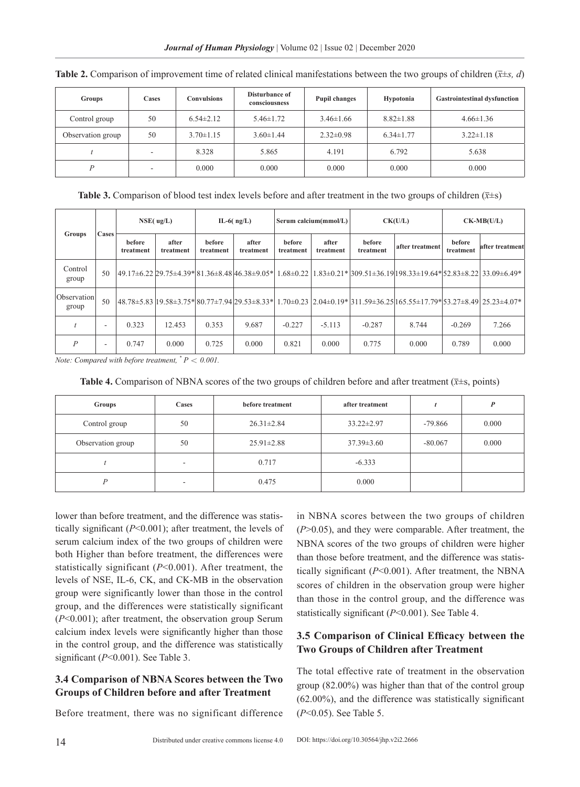| <b>Groups</b>     | <b>Cases</b> | <b>Convulsions</b> | Disturbance of<br>consciousness | <b>Pupil changes</b> | <b>Hypotonia</b> | <b>Gastrointestinal dysfunction</b> |
|-------------------|--------------|--------------------|---------------------------------|----------------------|------------------|-------------------------------------|
| Control group     | 50           | $6.54 \pm 2.12$    | $5.46 \pm 1.72$                 | $3.46 \pm 1.66$      | $8.82 \pm 1.88$  | $4.66 \pm 1.36$                     |
| Observation group | 50           | $3.70 \pm 1.15$    | $3.60 \pm 1.44$                 | $2.32 \pm 0.98$      | $6.34 \pm 1.77$  | $3.22 \pm 1.18$                     |
|                   | ۰.           | 8.328              | 5.865                           | 4.191                | 6.792            | 5.638                               |
| D                 | ۰            | 0.000              | 0.000                           | 0.000                | 0.000            | 0.000                               |

**Table 2.** Comparison of improvement time of related clinical manifestations between the two groups of children ( $\bar{x} \pm s$ , *d*)

**Table 3.** Comparison of blood test index levels before and after treatment in the two groups of children  $(\bar{x} \pm s)$ 

| Cases<br>Groups      |                          | NSE( ug/L)          |                    | IL-6( $ng/L$ )             |                    | Serum calcium(mmol/L) |                    | CK(U/L)             |                                                                                                                      | $CK-MB(U/L)$        |                 |
|----------------------|--------------------------|---------------------|--------------------|----------------------------|--------------------|-----------------------|--------------------|---------------------|----------------------------------------------------------------------------------------------------------------------|---------------------|-----------------|
|                      |                          | before<br>treatment | after<br>treatment | <b>before</b><br>treatment | after<br>treatment | before<br>treatment   | after<br>treatment | before<br>treatment | after treatment                                                                                                      | before<br>treatment | after treatment |
| Control<br>group     | 50                       |                     |                    |                            |                    |                       |                    |                     | 49.17±6.22 29.75±4.39* 81.36±8.48 46.38±9.05* 1.68±0.22 1.83±0.21* 309.51±36.19 198.33±19.64* 52.83±8.22 33.09±6.49* |                     |                 |
| Observation<br>group | 50                       |                     |                    |                            |                    |                       |                    |                     | 48.78±5.83 19.58±3.75* 80.77±7.94 29.53±8.33* 1.70±0.23 2.04±0.19* 311.59±36.25 165.55±17.79* 53.27±8.49 25.23±4.07* |                     |                 |
|                      | -                        | 0.323               | 12.453             | 0.353                      | 9.687              | $-0.227$              | $-5.113$           | $-0.287$            | 8.744                                                                                                                | $-0.269$            | 7.266           |
| $\boldsymbol{P}$     | $\overline{\phantom{a}}$ | 0.747               | 0.000              | 0.725                      | 0.000              | 0.821                 | 0.000              | 0.775               | 0.000                                                                                                                | 0.789               | 0.000           |

*Note: Compared with before treatment,*  $^*P < 0.001$ .

**Table 4.** Comparison of NBNA scores of the two groups of children before and after treatment ( $\bar{x}$ ±s, points)

| Groups            | Cases                    | before treatment | after treatment  |           | $\boldsymbol{p}$ |
|-------------------|--------------------------|------------------|------------------|-----------|------------------|
| Control group     | 50                       | $26.31 \pm 2.84$ | $33.22 \pm 2.97$ | $-79.866$ | 0.000            |
| Observation group | 50                       | $25.91 \pm 2.88$ | $37.39 \pm 3.60$ | $-80.067$ | 0.000            |
|                   | $\overline{\phantom{a}}$ | 0.717            | $-6.333$         |           |                  |
| D                 | $\overline{\phantom{a}}$ | 0.475            | 0.000            |           |                  |

lower than before treatment, and the difference was statistically significant (*P*<0.001); after treatment, the levels of serum calcium index of the two groups of children were both Higher than before treatment, the differences were statistically significant (*P*<0.001). After treatment, the levels of NSE, IL-6, CK, and CK-MB in the observation group were significantly lower than those in the control group, and the differences were statistically significant (*P*<0.001); after treatment, the observation group Serum calcium index levels were significantly higher than those in the control group, and the difference was statistically significant (*P*<0.001). See Table 3.

## **3.4 Comparison of NBNA Scores between the Two Groups of Children before and after Treatment**

Before treatment, there was no significant difference

in NBNA scores between the two groups of children (*P*>0.05), and they were comparable. After treatment, the NBNA scores of the two groups of children were higher than those before treatment, and the difference was statistically significant (*P*<0.001). After treatment, the NBNA scores of children in the observation group were higher than those in the control group, and the difference was statistically significant (*P*<0.001). See Table 4.

# **3.5 Comparison of Clinical Efficacy between the Two Groups of Children after Treatment**

The total effective rate of treatment in the observation group (82.00%) was higher than that of the control group (62.00%), and the difference was statistically significant (*P*<0.05). See Table 5.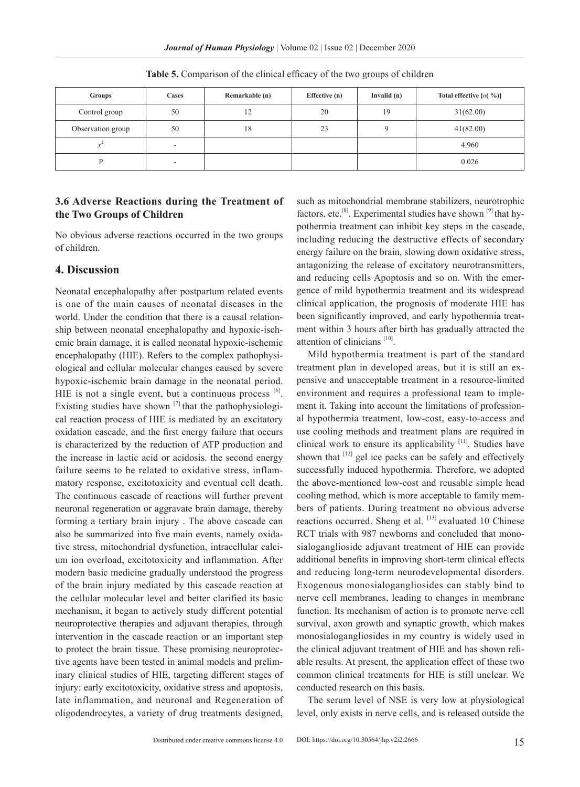*Journal of Human Physiology* | Volume 02 | Issue 02 | December 2020

| Groups            | Cases                    | Remarkable (n) | Effective (n) | Invalid $(n)$ | Total effective $[n( %)]$ |
|-------------------|--------------------------|----------------|---------------|---------------|---------------------------|
| Control group     | 50                       | 12             | 20            | 19            | 31(62.00)                 |
| Observation group | 50                       | 18             | 23            |               | 41(82.00)                 |
|                   | $\overline{\phantom{a}}$ |                |               |               | 4.960                     |
|                   | $\overline{\phantom{a}}$ |                |               |               | 0.026                     |

**Table 5.** Comparison of the clinical efficacy of the two groups of children

# **3.6 Adverse Reactions during the Treatment of the Two Groups of Children**

No obvious adverse reactions occurred in the two groups of children.

#### **4. Discussion**

Neonatal encephalopathy after postpartum related events is one of the main causes of neonatal diseases in the world. Under the condition that there is a causal relationship between neonatal encephalopathy and hypoxic-ischemic brain damage, it is called neonatal hypoxic-ischemic encephalopathy (HIE). Refers to the complex pathophysiological and cellular molecular changes caused by severe hypoxic-ischemic brain damage in the neonatal period. HIE is not a single event, but a continuous process  $[6]$ . Existing studies have shown  $[7]$  that the pathophysiological reaction process of HIE is mediated by an excitatory oxidation cascade, and the first energy failure that occurs is characterized by the reduction of ATP production and the increase in lactic acid or acidosis. the second energy failure seems to be related to oxidative stress, inflammatory response, excitotoxicity and eventual cell death. The continuous cascade of reactions will further prevent neuronal regeneration or aggravate brain damage, thereby forming a tertiary brain injury . The above cascade can also be summarized into five main events, namely oxidative stress, mitochondrial dysfunction, intracellular calcium ion overload, excitotoxicity and inflammation. After modern basic medicine gradually understood the progress of the brain injury mediated by this cascade reaction at the cellular molecular level and better clarified its basic mechanism, it began to actively study different potential neuroprotective therapies and adjuvant therapies, through intervention in the cascade reaction or an important step to protect the brain tissue. These promising neuroprotective agents have been tested in animal models and preliminary clinical studies of HIE, targeting different stages of injury: early excitotoxicity, oxidative stress and apoptosis, late inflammation, and neuronal and Regeneration of oligodendrocytes, a variety of drug treatments designed,

such as mitochondrial membrane stabilizers, neurotrophic factors, etc.<sup>[8]</sup>. Experimental studies have shown  $[9]$  that hypothermia treatment can inhibit key steps in the cascade, including reducing the destructive effects of secondary energy failure on the brain, slowing down oxidative stress, antagonizing the release of excitatory neurotransmitters, and reducing cells Apoptosis and so on. With the emergence of mild hypothermia treatment and its widespread clinical application, the prognosis of moderate HIE has been significantly improved, and early hypothermia treatment within 3 hours after birth has gradually attracted the attention of clinicians  $[10]$ .

Mild hypothermia treatment is part of the standard treatment plan in developed areas, but it is still an expensive and unacceptable treatment in a resource-limited environment and requires a professional team to implement it. Taking into account the limitations of professional hypothermia treatment, low-cost, easy-to-access and use cooling methods and treatment plans are required in clinical work to ensure its applicability [11]. Studies have shown that  $[12]$  gel ice packs can be safely and effectively successfully induced hypothermia. Therefore, we adopted the above-mentioned low-cost and reusable simple head cooling method, which is more acceptable to family members of patients. During treatment no obvious adverse reactions occurred. Sheng et al.  $[13]$  evaluated 10 Chinese RCT trials with 987 newborns and concluded that monosialoganglioside adjuvant treatment of HIE can provide additional benefits in improving short-term clinical effects and reducing long-term neurodevelopmental disorders. Exogenous monosialogangliosides can stably bind to nerve cell membranes, leading to changes in membrane function. Its mechanism of action is to promote nerve cell survival, axon growth and synaptic growth, which makes monosialogangliosides in my country is widely used in the clinical adjuvant treatment of HIE and has shown reliable results. At present, the application effect of these two common clinical treatments for HIE is still unclear. We conducted research on this basis.

The serum level of NSE is very low at physiological level, only exists in nerve cells, and is released outside the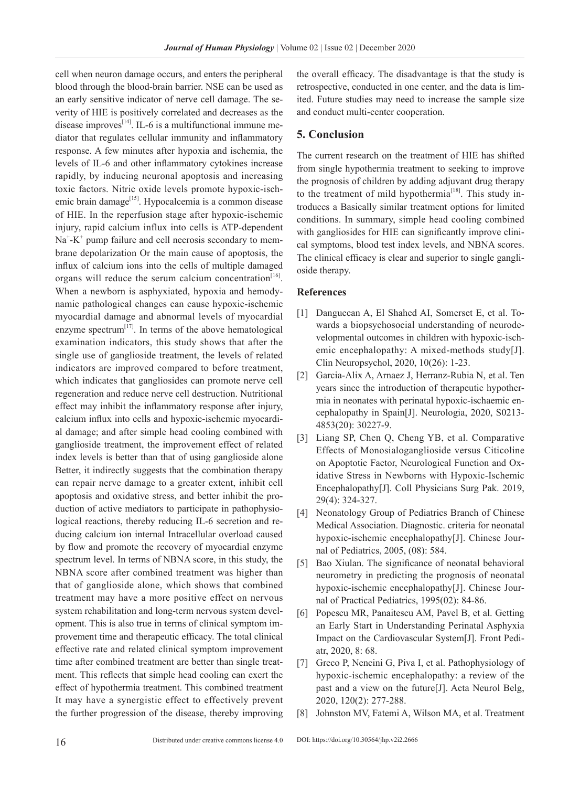cell when neuron damage occurs, and enters the peripheral blood through the blood-brain barrier. NSE can be used as an early sensitive indicator of nerve cell damage. The severity of HIE is positively correlated and decreases as the disease improves $^{[14]}$ . IL-6 is a multifunctional immune mediator that regulates cellular immunity and inflammatory response. A few minutes after hypoxia and ischemia, the levels of IL-6 and other inflammatory cytokines increase rapidly, by inducing neuronal apoptosis and increasing toxic factors. Nitric oxide levels promote hypoxic-ischemic brain damage<sup>[15]</sup>. Hypocalcemia is a common disease of HIE. In the reperfusion stage after hypoxic-ischemic injury, rapid calcium influx into cells is ATP-dependent Na<sup>+</sup>-K<sup>+</sup> pump failure and cell necrosis secondary to membrane depolarization Or the main cause of apoptosis, the influx of calcium ions into the cells of multiple damaged organs will reduce the serum calcium concentration<sup>[16]</sup>. When a newborn is asphyxiated, hypoxia and hemodynamic pathological changes can cause hypoxic-ischemic myocardial damage and abnormal levels of myocardial enzyme spectrum $^{[17]}$ . In terms of the above hematological examination indicators, this study shows that after the single use of ganglioside treatment, the levels of related indicators are improved compared to before treatment, which indicates that gangliosides can promote nerve cell regeneration and reduce nerve cell destruction. Nutritional effect may inhibit the inflammatory response after injury, calcium influx into cells and hypoxic-ischemic myocardial damage; and after simple head cooling combined with ganglioside treatment, the improvement effect of related index levels is better than that of using ganglioside alone Better, it indirectly suggests that the combination therapy can repair nerve damage to a greater extent, inhibit cell apoptosis and oxidative stress, and better inhibit the production of active mediators to participate in pathophysiological reactions, thereby reducing IL-6 secretion and reducing calcium ion internal Intracellular overload caused by flow and promote the recovery of myocardial enzyme spectrum level. In terms of NBNA score, in this study, the NBNA score after combined treatment was higher than that of ganglioside alone, which shows that combined treatment may have a more positive effect on nervous system rehabilitation and long-term nervous system development. This is also true in terms of clinical symptom improvement time and therapeutic efficacy. The total clinical effective rate and related clinical symptom improvement time after combined treatment are better than single treatment. This reflects that simple head cooling can exert the effect of hypothermia treatment. This combined treatment It may have a synergistic effect to effectively prevent the further progression of the disease, thereby improving

the overall efficacy. The disadvantage is that the study is retrospective, conducted in one center, and the data is limited. Future studies may need to increase the sample size and conduct multi-center cooperation.

# **5. Conclusion**

The current research on the treatment of HIE has shifted from single hypothermia treatment to seeking to improve the prognosis of children by adding adjuvant drug therapy to the treatment of mild hypothermia<sup>[18]</sup>. This study introduces a Basically similar treatment options for limited conditions. In summary, simple head cooling combined with gangliosides for HIE can significantly improve clinical symptoms, blood test index levels, and NBNA scores. The clinical efficacy is clear and superior to single ganglioside therapy.

#### **References**

- [1] Danguecan A, El Shahed AI, Somerset E, et al. Towards a biopsychosocial understanding of neurodevelopmental outcomes in children with hypoxic-ischemic encephalopathy: A mixed-methods study[J]. Clin Neuropsychol, 2020, 10(26): 1-23.
- [2] Garcia-Alix A, Arnaez J, Herranz-Rubia N, et al. Ten years since the introduction of therapeutic hypothermia in neonates with perinatal hypoxic-ischaemic encephalopathy in Spain[J]. Neurologia, 2020, S0213- 4853(20): 30227-9.
- [3] Liang SP, Chen Q, Cheng YB, et al. Comparative Effects of Monosialoganglioside versus Citicoline on Apoptotic Factor, Neurological Function and Oxidative Stress in Newborns with Hypoxic-Ischemic Encephalopathy[J]. Coll Physicians Surg Pak. 2019, 29(4): 324-327.
- [4] Neonatology Group of Pediatrics Branch of Chinese Medical Association. Diagnostic. criteria for neonatal hypoxic-ischemic encephalopathy[J]. Chinese Journal of Pediatrics, 2005, (08): 584.
- [5] Bao Xiulan. The significance of neonatal behavioral neurometry in predicting the prognosis of neonatal hypoxic-ischemic encephalopathy[J]. Chinese Journal of Practical Pediatrics, 1995(02): 84-86.
- [6] Popescu MR, Panaitescu AM, Pavel B, et al. Getting an Early Start in Understanding Perinatal Asphyxia Impact on the Cardiovascular System[J]. Front Pediatr, 2020, 8: 68.
- [7] Greco P, Nencini G, Piva I, et al. Pathophysiology of hypoxic-ischemic encephalopathy: a review of the past and a view on the future[J]. Acta Neurol Belg, 2020, 120(2): 277-288.
- [8] Johnston MV, Fatemi A, Wilson MA, et al. Treatment